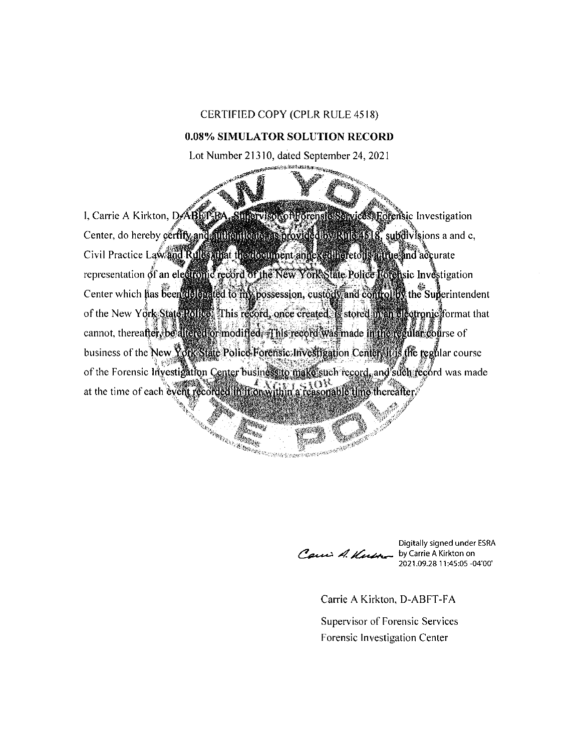## CERTIFIED COPY (CPLR RULE 4518)

## 0.08% SIMULATOR SOLUTION RECORD

Lot Number 21310, dated September 24, 2021

I, Carrie A Kirkton, D.ABLIT BA, SUPervisor of Forensic Services, Ecremisic Investigation Center, do hereby certify and authenticate as provided by Rule 4518, subdivisions a and c, Civil Practice Law and Rules that the document annexed heretons attue and accurate representation of an electronic record of the New York State Police Rotensic Investigation Center which has been delegated to my possession, custody and control by the Superintendent of the New York State Police This record, once created. Is stored in an electronic format that cannot, thereafter, be altered or modified. This record was made in the regular course of business of the New York State Police Forensic Investigation Center, it is the regular course of the Forensic Investigation Center businessito make such record, and such record was made at the time of each event recorded in it on within a reasonable time thereafter.

ang na panggalang kalang ang pang

e de la propieta de la propieta de la propieta de la propieta de la propieta de la propieta de la propieta de<br>La propieta de la propieta de la propieta de la propieta de la propieta de la propieta de la propieta de la pr

iy<sub>a</sub>. Alexander

Carri A. Kusa

Digitally signed under ESRA by Carrie A Kirkton on 2021.09.28 11:45:05 -04'00'

Carrie A Kirkton, D-ABFT-FA

Supervisor of Forensic Services Forensic Investigation Center